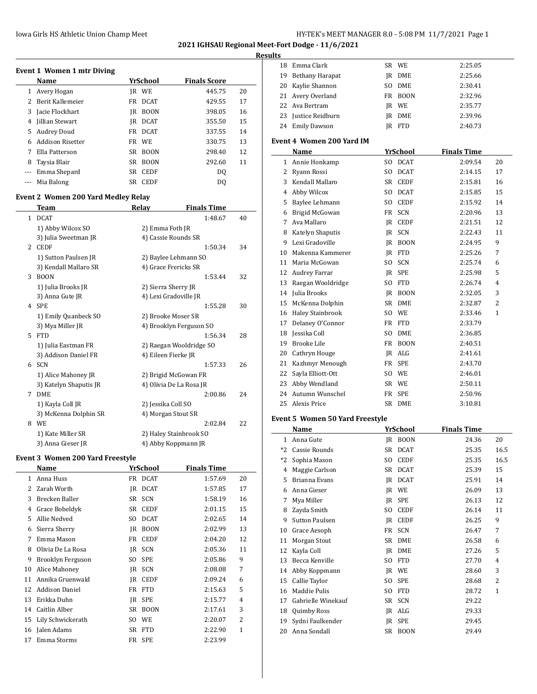**2021 IGHSAU Regional Meet-Fort Dodge - 11/6/2021**

#### **Results**

| Event 1 Women 1 mtr Diving |                         |    |             |                     |    |  |  |  |
|----------------------------|-------------------------|----|-------------|---------------------|----|--|--|--|
|                            | Name                    |    | YrSchool    | <b>Finals Score</b> |    |  |  |  |
| 1                          | Avery Hogan             | IR | WE          | 445.75              | 20 |  |  |  |
| 2                          | Berit Kallemeier        | FR | <b>DCAT</b> | 429.55              | 17 |  |  |  |
| 3                          | Jacie Flockhart         | IR | <b>BOON</b> | 398.05              | 16 |  |  |  |
| 4                          | Jillian Stewart         | IR | <b>DCAT</b> | 355.50              | 15 |  |  |  |
| 5                          | Audrey Doud             | FR | <b>DCAT</b> | 337.55              | 14 |  |  |  |
| 6                          | <b>Addison Risetter</b> |    | FR WE       | 330.75              | 13 |  |  |  |
| 7                          | Ella Patterson          | SR | <b>BOON</b> | 298.40              | 12 |  |  |  |
| 8                          | Taysia Blair            | SR | <b>BOON</b> | 292.60              | 11 |  |  |  |
|                            | Emma Shepard            | SR | <b>CEDF</b> | DO.                 |    |  |  |  |
|                            | Mia Balong              | SR | <b>CEDF</b> | D0                  |    |  |  |  |

# **Event 2 Women 200 Yard Medley Relay**

|   | <b>Team</b>            | Relay                   | <b>Finals Time</b> |    |
|---|------------------------|-------------------------|--------------------|----|
| 1 | <b>DCAT</b>            |                         | 1:48.67            | 40 |
|   | 1) Abby Wilcox SO      | 2) Emma Foth JR         |                    |    |
|   | 3) Julia Sweetman JR   | 4) Cassie Rounds SR     |                    |    |
| 2 | <b>CEDF</b>            |                         | 1:50.34            | 34 |
|   | 1) Sutton Paulsen JR   | 2) Baylee Lehmann SO    |                    |    |
|   | 3) Kendall Mallaro SR  | 4) Grace Frericks SR    |                    |    |
| 3 | <b>BOON</b>            |                         | 1:53.44            | 32 |
|   | 1) Julia Brooks JR     | 2) Sierra Sherry JR     |                    |    |
|   | 3) Anna Gute JR        | 4) Lexi Gradoville JR   |                    |    |
|   | 4 SPE                  |                         | 1:55.28            | 30 |
|   | 1) Emily Quanbeck SO   | 2) Brooke Moser SR      |                    |    |
|   | 3) Mya Miller JR       | 4) Brooklyn Ferguson SO |                    |    |
| 5 | <b>FTD</b>             |                         | 1:56.34            | 28 |
|   | 1) Julia Eastman FR    | 2) Raegan Wooldridge SO |                    |    |
|   | 3) Addison Daniel FR   | 4) Eileen Fierke JR     |                    |    |
|   | 6 SCN                  |                         | 1:57.33            | 26 |
|   | 1) Alice Mahoney JR    | 2) Brigid McGowan FR    |                    |    |
|   | 3) Katelyn Shaputis JR | 4) Olivia De La Rosa JR |                    |    |
| 7 | <b>DME</b>             |                         | 2:00.86            | 24 |
|   | 1) Kayla Coll JR       | 2) Jessika Coll SO      |                    |    |
|   | 3) McKenna Dolphin SR  | 4) Morgan Stout SR      |                    |    |
| 8 | <b>WE</b>              |                         | 2:02.84            | 22 |
|   | 1) Kate Miller SR      | 2) Haley Stainbrook SO  |                    |    |
|   | 3) Anna Gieser JR      | 4) Abby Koppmann JR     |                    |    |

### **Event 3 Women 200 Yard Freestyle**

|    | Name                  | YrSchool |             | <b>Finals Time</b> |    |
|----|-----------------------|----------|-------------|--------------------|----|
| 1  | Anna Huss             | FR       | <b>DCAT</b> | 1:57.69            | 20 |
| 2  | Zarah Worth           | IR       | <b>DCAT</b> | 1:57.85            | 17 |
| 3  | Brecken Baller        | SR       | <b>SCN</b>  | 1:58.19            | 16 |
| 4  | Grace Bobeldyk        | SR       | <b>CEDF</b> | 2:01.15            | 15 |
| 5  | Allie Nedved          | SO.      | <b>DCAT</b> | 2:02.65            | 14 |
| 6  | Sierra Sherry         | IR       | <b>BOON</b> | 2:02.99            | 13 |
| 7  | Emma Mason            | FR       | <b>CEDF</b> | 2:04.20            | 12 |
| 8  | Olivia De La Rosa     | IR       | <b>SCN</b>  | 2:05.36            | 11 |
| 9  | Brooklyn Ferguson     | SO.      | <b>SPE</b>  | 2:05.86            | 9  |
| 10 | Alice Mahoney         | IR       | <b>SCN</b>  | 2:08.08            | 7  |
| 11 | Annika Gruenwald      | IR       | <b>CEDF</b> | 2:09.24            | 6  |
| 12 | <b>Addison Daniel</b> | FR       | <b>FTD</b>  | 2:15.63            | 5  |
| 13 | Erikka Duhn           | IR       | <b>SPE</b>  | 2:15.77            | 4  |
| 14 | Caitlin Alber         | SR       | <b>BOON</b> | 2:17.61            | 3  |
| 15 | Lily Schwickerath     | SO.      | WE          | 2:20.07            | 2  |
| 16 | Jalen Adams           | SR       | <b>FTD</b>  | 2:22.90            | 1  |
| 17 | Emma Storms           | FR       | <b>SPE</b>  | 2:23.99            |    |

| 18           | Emma Clark                            |     | SR WE             | 2:25.05            |                |
|--------------|---------------------------------------|-----|-------------------|--------------------|----------------|
| 19           | Bethany Harapat                       |     | JR DME            | 2:25.66            |                |
| 20           | Kaylie Shannon                        | SO. | DME               | 2:30.41            |                |
| 21           | Avery Overland                        |     | FR BOON           | 2:32.96            |                |
| 22           | Ava Bertram                           |     | JR WE             | 2:35.77            |                |
| 23           | Iustice Reidburn                      |     | IR DME            | 2:39.96            |                |
| 24           | <b>Emily Dawson</b>                   |     | IR FTD            | 2:40.73            |                |
|              | <b>Event 4 Women 200 Yard IM</b>      |     |                   |                    |                |
|              | Name                                  |     | <b>YrSchool</b>   | <b>Finals Time</b> |                |
|              | 1 Annie Honkamp                       | SO. | <b>DCAT</b>       | 2:09.54            | 20             |
| $\mathbf{2}$ | Ryann Rossi                           | SO. | <b>DCAT</b>       | 2:14.15            | 17             |
| 3            | Kendall Mallaro                       |     | SR CEDF           | 2:15.81            | 16             |
|              | 4 Abby Wilcox                         |     | SO DCAT           | 2:15.85            | 15             |
| 5.           | Baylee Lehmann                        |     | SO CEDF           | 2:15.92            | 14             |
|              | 6 Brigid McGowan                      |     | FR SCN            | 2:20.96            | 13             |
| 7            | Ava Mallaro                           |     |                   |                    | 12             |
|              |                                       |     | JR CEDF           | 2:21.51            |                |
| 8            | Katelyn Shaputis<br>9 Lexi Gradoville |     | JR SCN            | 2:22.43            | 11<br>9        |
|              |                                       |     | JR BOON           | 2:24.95            |                |
| 10           | Makenna Kammerer                      |     | IR FTD            | 2:25.26            | 7              |
|              | 11 Maria McGowan                      |     | SO SCN            | 2:25.74            | 6              |
|              | 12 Audrey Farrar                      |     | JR SPE            | 2:25.98            | 5              |
| 13           | Raegan Wooldridge                     | SO. | <b>FTD</b>        | 2:26.74            | $\overline{4}$ |
| 14           | Julia Brooks                          |     | JR BOON           | 2:32.05            | 3              |
|              | 15 McKenna Dolphin                    |     | SR DME            | 2:32.87            | 2              |
|              | 16 Haley Stainbrook                   |     | SO WE             | 2:33.46            | 1              |
| 17           | Delaney O'Connor                      |     | FR FTD            | 2:33.79            |                |
| 18           | Jessika Coll                          | SO. | DME               | 2:36.85            |                |
| 19           | Brooke Lile                           |     | FR BOON           | 2:40.51            |                |
|              |                                       |     | JR ALG            | 2:41.61            |                |
|              | 20 Cathryn Houge                      |     |                   |                    |                |
|              | 21 Kazhmyr Menough                    |     | FR SPE            | 2:43.70            |                |
|              | 22 Sayla Elliott-Ott                  |     | SO WE             | 2:46.01            |                |
|              | 23 Abby Wendland                      |     | SR WE             | 2:50.11            |                |
| 24           | Autumn Wunschel                       |     | FR SPE            | 2:50.96            |                |
| 25           | Alexis Price                          |     | SR DME            | 3:10.81            |                |
|              | Event 5 Women 50 Yard Freestyle       |     |                   |                    |                |
|              | Name                                  |     | <b>YrSchool</b>   | <b>Finals Time</b> |                |
| $\mathbf{1}$ | Anna Gute                             |     | IR BOON           | 24.36              | 20             |
| *2           | Cassie Rounds                         | SR  | DCAT              | 25.35              | 16.5           |
| *2           | Sophia Mason                          | SO. | CEDF              | 25.35              | 16.5           |
| 4            | Maggie Carlson                        | SR  | <b>DCAT</b>       | 25.39              | 15             |
| 5            | Brianna Evans                         | JR  | <b>DCAT</b>       | 25.91              | 14             |
|              | 6 Anna Gieser                         |     | JR WE             | 26.09              | 13             |
| 7            | Mya Miller                            | IR  | SPE               | 26.13              | 12             |
| 8            | Zayda Smith                           | SO  | <b>CEDF</b>       | 26.14              | 11             |
| 9            | <b>Sutton Paulsen</b>                 |     | IR CEDF           | 26.25              | 9              |
| 10           | Grace Aesoph                          | FR  | SCN               | 26.47              | 7              |
| 11           | Morgan Stout                          | SR  | DME               | 26.58              | 6              |
| 12           | Kayla Coll                            |     | JR DME            | 27.26              | 5              |
| 13           | Becca Kenville                        | SO. | <b>FTD</b>        | 27.70              | 4              |
| 14           | Abby Koppmann                         |     | JR WE             | 28.60              | 3              |
| 15           | Callie Taylor                         | SO  | <b>SPE</b>        | 28.68              | 2              |
| 16           | Maddie Pulis                          | SO  | <b>FTD</b>        | 28.72              | 1              |
| 17           | Gabrielle Winekauf                    | SR  | SCN               | 29.22              |                |
| 18           | Quimby Ross                           |     | JR ALG            | 29.33              |                |
| 19<br>20     | Sydni Faulkender<br>Anna Sondall      |     | JR SPE<br>SR BOON | 29.45<br>29.49     |                |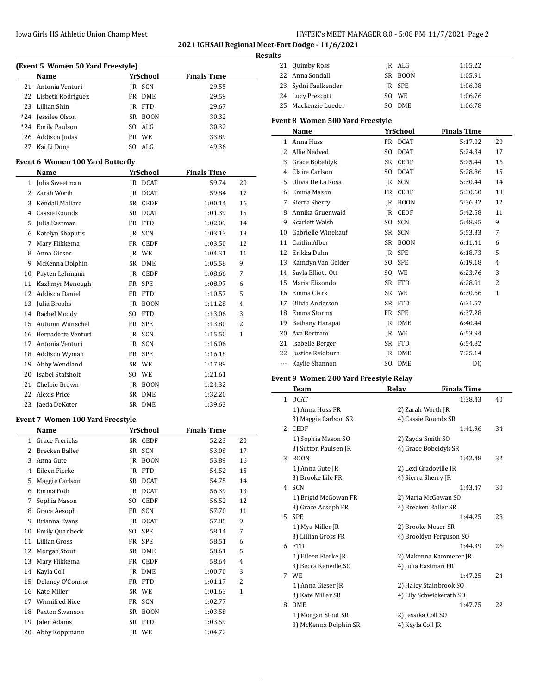### Iowa Girls HS Athletic Union Champ Meet **Hy-TEK's MEET MANAGER 8.0 - 5:08 PM 11/7/2021** Page 2

21 Quimby Ross JR ALG 1:05.22 22 Anna Sondall SR BOON 1:05.91

**2021 IGHSAU Regional Meet-Fort Dodge - 11/6/2021**

# **Results**

|       | (Event 5 Women 50 Yard Freestyle)               |     |                 |                    |    |
|-------|-------------------------------------------------|-----|-----------------|--------------------|----|
|       | Name                                            |     | YrSchool        | <b>Finals Time</b> |    |
| 21    | Antonia Venturi                                 |     | IR SCN          | 29.55              |    |
| 22    | Lisbeth Rodriguez                               | FR  | DME             | 29.59              |    |
| 23    | Lillian Shin                                    |     | IR FTD          | 29.67              |    |
| $*24$ | Jessilee Olson                                  | SR  | <b>BOON</b>     | 30.32              |    |
|       | *24 Emily Paulson                               |     | SO ALG          | 30.32              |    |
|       | 26 Addison Judas                                |     | FR WE           | 33.89              |    |
|       | 27 Kai Li Dong                                  |     | SO ALG          | 49.36              |    |
|       | <b>Event 6 Women 100 Yard Butterfly</b>         |     |                 |                    |    |
|       | Name                                            |     | YrSchool        | <b>Finals Time</b> |    |
|       | 1 Julia Sweetman                                |     | JR DCAT         | 59.74              | 20 |
| 2     | Zarah Worth                                     | IR  | <b>DCAT</b>     | 59.84              | 17 |
| 3     | Kendall Mallaro                                 | SR  | <b>CEDF</b>     | 1:00.14            | 16 |
| 4     | Cassie Rounds                                   | SR  | <b>DCAT</b>     | 1:01.39            | 15 |
| 5     | Julia Eastman                                   | FR  | FTD             | 1:02.09            | 14 |
| 6     | Katelyn Shaputis                                | IR  | SCN             | 1:03.13            | 13 |
| 7     | Mary Flikkema                                   | FR  | CEDF            | 1:03.50            | 12 |
| 8     | Anna Gieser                                     |     | IR WE           | 1:04.31            | 11 |
| 9     | McKenna Dolphin                                 | SR  | DME             | 1:05.58            | 9  |
| 10    | Payten Lehmann                                  |     | JR CEDF         | 1:08.66            | 7  |
| 11    | Kazhmyr Menough                                 |     | FR SPE          | 1:08.97            | 6  |
| 12    | <b>Addison Daniel</b>                           | FR  | FTD             | 1:10.57            | 5  |
| 13    | Julia Brooks                                    | JR  | <b>BOON</b>     | 1:11.28            | 4  |
| 14    | Rachel Moody                                    | SO. | <b>FTD</b>      | 1:13.06            | 3  |
| 15    | Autumn Wunschel                                 |     | FR SPE          | 1:13.80            | 2  |
| 16    | Bernadette Venturi                              |     | JR SCN          | 1:15.50            | 1  |
| 17    | Antonia Venturi                                 | JR  | SCN             | 1:16.06            |    |
|       | 18 Addison Wyman                                | FR  | <b>SPE</b>      | 1:16.18            |    |
| 19    | Abby Wendland                                   |     | SR WE           | 1:17.89            |    |
| 20    | Isabel Stafsholt                                |     | SO WE           | 1:21.61            |    |
| 21    | Chelbie Brown                                   |     | JR BOON         | 1:24.32            |    |
| 22    | Alexis Price                                    | SR  | DME             | 1:32.20            |    |
| 23    | Jaeda DeKoter                                   |     | SR DME          | 1:39.63            |    |
|       |                                                 |     |                 |                    |    |
|       | <b>Event 7 Women 100 Yard Freestyle</b><br>Name |     | <b>YrSchool</b> | <b>Finals Time</b> |    |
|       | 1 Grace Frericks                                |     |                 |                    |    |
|       |                                                 |     | SR CEDF         | 52.23              | 20 |
| 2     | Brecken Baller                                  |     | SR SCN          | 53.08              | 17 |
| 3     | Anna Gute                                       | JR  | <b>BOON</b>     | 53.89              | 16 |
| 4     | Eileen Fierke                                   | JR  | <b>FTD</b>      | 54.52              | 15 |
| 5     | Maggie Carlson                                  | SR  | <b>DCAT</b>     | 54.75              | 14 |
| 6     | Emma Foth                                       | JR  | <b>DCAT</b>     | 56.39              | 13 |
| 7     | Sophia Mason                                    | SO  | <b>CEDF</b>     | 56.52              | 12 |
| 8     | Grace Aesoph                                    | FR  | SCN             | 57.70              | 11 |
| 9     | Brianna Evans                                   | JR  | <b>DCAT</b>     | 57.85              | 9  |
| 10    | Emily Quanbeck                                  | SO  | SPE             | 58.14              | 7  |
| 11    | Lillian Gross                                   | FR  | SPE             | 58.51              | 6  |
| 12    | Morgan Stout                                    | SR  | DME             | 58.61              | 5  |
| 13    | Mary Flikkema                                   | FR  | CEDF            | 58.64              | 4  |
| 14    | Kayla Coll                                      | JR  | DME             | 1:00.70            | 3  |
| 15    | Delaney O'Connor                                | FR  | <b>FTD</b>      | 1:01.17            | 2  |
| 16    | Kate Miller                                     |     | SR WE           | 1:01.63            | 1  |

17 Winnifred Nice FR SCN 1:02.77 18 Paxton Swanson SR BOON 1:03.58 19 Jalen Adams SR FTD 1:03.59 20 Abby Koppmann JR WE 1:04.72

| 23                                      | Sydni Faulkender                            |     | JR SPE              | 1:06.08                                       |    |  |  |  |
|-----------------------------------------|---------------------------------------------|-----|---------------------|-----------------------------------------------|----|--|--|--|
|                                         | 24 Lucy Prescott                            | SO. | WE                  | 1:06.76                                       |    |  |  |  |
| 25                                      | Mackenzie Lueder                            | SO. | DME                 | 1:06.78                                       |    |  |  |  |
| <b>Event 8 Women 500 Yard Freestyle</b> |                                             |     |                     |                                               |    |  |  |  |
|                                         | Name                                        |     | YrSchool            | <b>Finals Time</b>                            |    |  |  |  |
| $\mathbf{1}$                            | Anna Huss                                   |     | FR DCAT             | 5:17.02                                       | 20 |  |  |  |
|                                         | 2 Allie Nedved                              | SO. | <b>DCAT</b>         | 5:24.34                                       | 17 |  |  |  |
|                                         | 3 Grace Bobeldyk                            | SR  | <b>CEDF</b>         | 5:25.44                                       | 16 |  |  |  |
|                                         | 4 Claire Carlson                            |     | SO DCAT             | 5:28.86                                       | 15 |  |  |  |
| 5                                       | Olivia De La Rosa                           |     | IR SCN              | 5:30.44                                       | 14 |  |  |  |
|                                         | 6 Emma Mason                                |     | FR CEDF             | 5:30.60                                       | 13 |  |  |  |
|                                         | 7 Sierra Sherry                             |     | JR BOON             | 5:36.32                                       | 12 |  |  |  |
|                                         | 8 Annika Gruenwald                          |     | JR CEDF             | 5:42.58                                       | 11 |  |  |  |
| 9                                       | Scarlett Walsh                              |     | SO SCN              | 5:48.95                                       | 9  |  |  |  |
| 10                                      | Gabrielle Winekauf                          |     | SR SCN              | 5:53.33                                       | 7  |  |  |  |
|                                         | 11 Caitlin Alber                            |     | SR BOON             | 6:11.41                                       | 6  |  |  |  |
|                                         | 12 Erikka Duhn                              |     | JR SPE              | 6:18.73                                       | 5  |  |  |  |
|                                         | 13 Kamdyn Van Gelder                        |     | SO SPE              | 6:19.18                                       | 4  |  |  |  |
|                                         | 14 Sayla Elliott-Ott                        |     | SO WE               | 6:23.76                                       | 3  |  |  |  |
|                                         | 15 Maria Elizondo                           |     | SR FTD              | 6:28.91                                       | 2  |  |  |  |
|                                         | 16 Emma Clark                               |     | SR WE               | 6:30.66                                       | 1  |  |  |  |
|                                         | 17 Olivia Anderson                          |     | SR FTD              | 6:31.57                                       |    |  |  |  |
|                                         | 18 Emma Storms                              |     | FR SPE              | 6:37.28                                       |    |  |  |  |
|                                         | 19 Bethany Harapat                          |     | JR DME              | 6:40.44                                       |    |  |  |  |
|                                         | 20 Ava Bertram                              |     | IR WE               | 6:53.94                                       |    |  |  |  |
|                                         | 21 Isabelle Berger                          |     | SR FTD              | 6:54.82                                       |    |  |  |  |
| 22                                      | Justice Reidburn                            |     | JR DME              | 7:25.14                                       |    |  |  |  |
| ---                                     | Kaylie Shannon                              |     | SO DME              | DQ                                            |    |  |  |  |
|                                         |                                             |     |                     |                                               |    |  |  |  |
|                                         | Event 9 Women 200 Yard Freestyle Relay      |     |                     |                                               |    |  |  |  |
|                                         | Team                                        |     | Relay               | <b>Finals Time</b>                            |    |  |  |  |
| $\mathbf{1}$                            | <b>DCAT</b>                                 |     |                     | 1:38.43                                       | 40 |  |  |  |
|                                         | 1) Anna Huss FR                             |     | 2) Zarah Worth JR   |                                               |    |  |  |  |
|                                         | 3) Maggie Carlson SR                        |     |                     | 4) Cassie Rounds SR                           |    |  |  |  |
|                                         | 2 CEDF                                      |     |                     | 1:41.96                                       | 34 |  |  |  |
|                                         | 1) Sophia Mason SO                          |     | 2) Zayda Smith SO   | 4) Grace Bobeldyk SR                          |    |  |  |  |
| 3                                       | 3) Sutton Paulsen JR<br><b>BOON</b>         |     |                     | 1:42.48                                       | 32 |  |  |  |
|                                         | 1) Anna Gute JR                             |     |                     | 2) Lexi Gradoville JR                         |    |  |  |  |
|                                         | 3) Brooke Lile FR                           |     | 4) Sierra Sherry JR |                                               |    |  |  |  |
|                                         | 4 SCN                                       |     |                     | 1:43.47                                       | 30 |  |  |  |
|                                         | 1) Brigid McGowan FR                        |     |                     | 2) Maria McGowan SO                           |    |  |  |  |
|                                         | 3) Grace Aesoph FR                          |     |                     | 4) Brecken Baller SR                          |    |  |  |  |
|                                         | 5 SPE                                       |     |                     | 1:44.25                                       | 28 |  |  |  |
|                                         |                                             |     |                     |                                               |    |  |  |  |
|                                         |                                             |     |                     |                                               |    |  |  |  |
|                                         | 1) Mya Miller JR                            |     |                     | 2) Brooke Moser SR                            |    |  |  |  |
|                                         | 3) Lillian Gross FR<br>6 FTD                |     |                     | 4) Brooklyn Ferguson SO<br>1:44.39            | 26 |  |  |  |
|                                         |                                             |     |                     |                                               |    |  |  |  |
|                                         | 1) Eileen Fierke JR<br>3) Becca Kenville SO |     |                     | 2) Makenna Kammerer JR<br>4) Julia Eastman FR |    |  |  |  |
|                                         | 7 WE                                        |     |                     | 1:47.25                                       | 24 |  |  |  |
|                                         | 1) Anna Gieser JR                           |     |                     | 2) Haley Stainbrook SO                        |    |  |  |  |
|                                         | 3) Kate Miller SR                           |     |                     | 4) Lily Schwickerath SO                       |    |  |  |  |
|                                         | 8 DME                                       |     |                     | 1:47.75                                       | 22 |  |  |  |

3) McKenna Dolphin SR 4) Kayla Coll JR